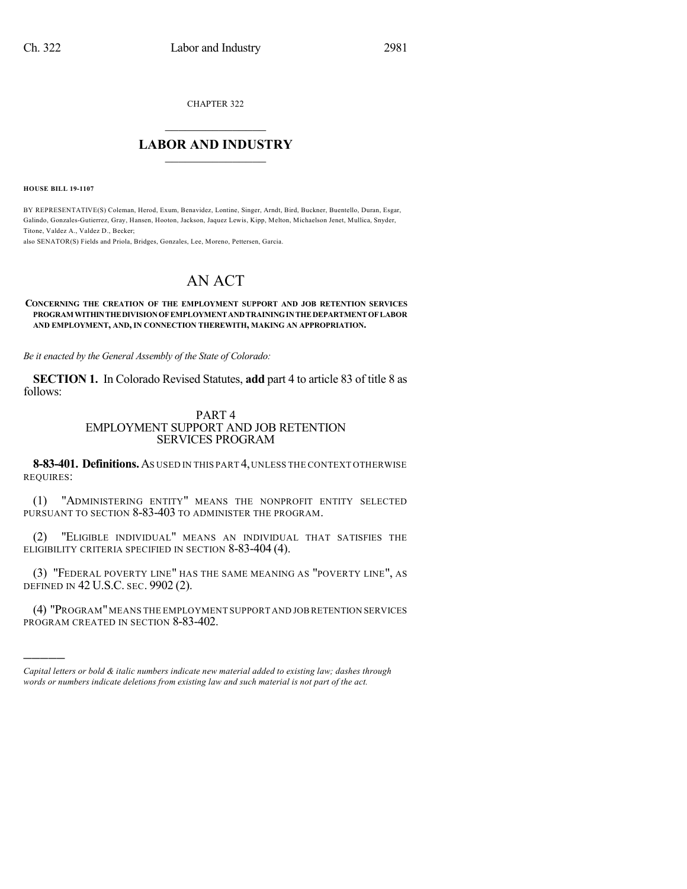CHAPTER 322

## $\overline{\phantom{a}}$  . The set of the set of the set of the set of the set of the set of the set of the set of the set of the set of the set of the set of the set of the set of the set of the set of the set of the set of the set o **LABOR AND INDUSTRY**  $\frac{1}{\sqrt{2}}$  ,  $\frac{1}{\sqrt{2}}$  ,  $\frac{1}{\sqrt{2}}$  ,  $\frac{1}{\sqrt{2}}$  ,  $\frac{1}{\sqrt{2}}$  ,  $\frac{1}{\sqrt{2}}$

**HOUSE BILL 19-1107**

)))))

BY REPRESENTATIVE(S) Coleman, Herod, Exum, Benavidez, Lontine, Singer, Arndt, Bird, Buckner, Buentello, Duran, Esgar, Galindo, Gonzales-Gutierrez, Gray, Hansen, Hooton, Jackson, Jaquez Lewis, Kipp, Melton, Michaelson Jenet, Mullica, Snyder, Titone, Valdez A., Valdez D., Becker;

also SENATOR(S) Fields and Priola, Bridges, Gonzales, Lee, Moreno, Pettersen, Garcia.

## AN ACT

## **CONCERNING THE CREATION OF THE EMPLOYMENT SUPPORT AND JOB RETENTION SERVICES PROGRAM WITHINTHEDIVISIONOFEMPLOYMENTANDTRAININGINTHEDEPARTMENTOFLABOR AND EMPLOYMENT, AND, IN CONNECTION THEREWITH, MAKING AN APPROPRIATION.**

*Be it enacted by the General Assembly of the State of Colorado:*

**SECTION 1.** In Colorado Revised Statutes, **add** part 4 to article 83 of title 8 as follows:

## PART 4 EMPLOYMENT SUPPORT AND JOB RETENTION SERVICES PROGRAM

**8-83-401. Definitions.**AS USED IN THIS PART 4,UNLESS THE CONTEXT OTHERWISE REQUIRES:

(1) "ADMINISTERING ENTITY" MEANS THE NONPROFIT ENTITY SELECTED PURSUANT TO SECTION 8-83-403 TO ADMINISTER THE PROGRAM.

(2) "ELIGIBLE INDIVIDUAL" MEANS AN INDIVIDUAL THAT SATISFIES THE ELIGIBILITY CRITERIA SPECIFIED IN SECTION 8-83-404 (4).

(3) "FEDERAL POVERTY LINE" HAS THE SAME MEANING AS "POVERTY LINE", AS DEFINED IN 42 U.S.C. SEC. 9902 (2).

(4) "PROGRAM"MEANS THE EMPLOYMENT SUPPORT AND JOBRETENTION SERVICES PROGRAM CREATED IN SECTION 8-83-402.

*Capital letters or bold & italic numbers indicate new material added to existing law; dashes through words or numbers indicate deletions from existing law and such material is not part of the act.*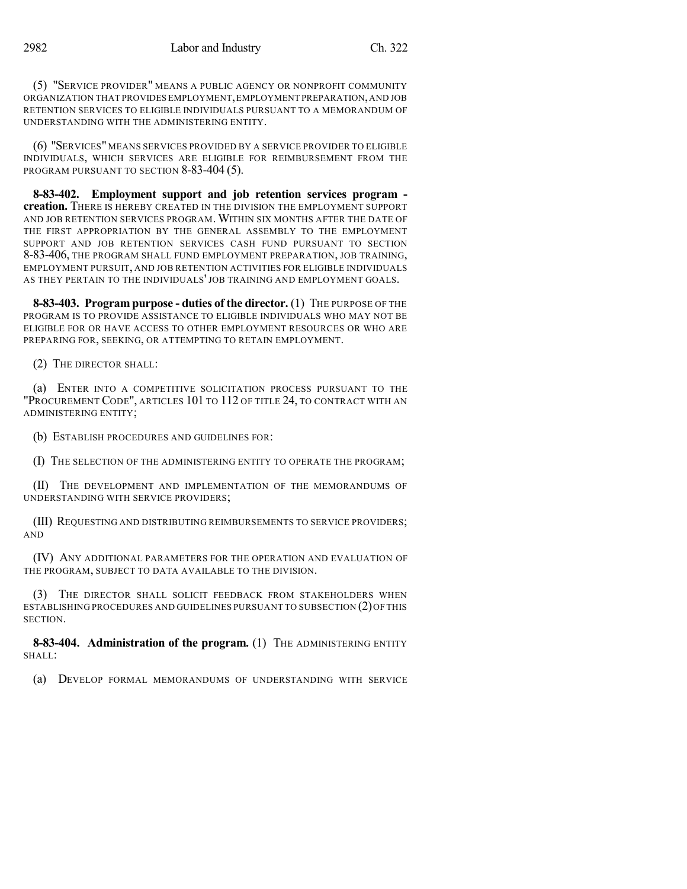(5) "SERVICE PROVIDER" MEANS A PUBLIC AGENCY OR NONPROFIT COMMUNITY ORGANIZATION THAT PROVIDES EMPLOYMENT,EMPLOYMENT PREPARATION,AND JOB RETENTION SERVICES TO ELIGIBLE INDIVIDUALS PURSUANT TO A MEMORANDUM OF UNDERSTANDING WITH THE ADMINISTERING ENTITY.

(6) "SERVICES" MEANS SERVICES PROVIDED BY A SERVICE PROVIDER TO ELIGIBLE INDIVIDUALS, WHICH SERVICES ARE ELIGIBLE FOR REIMBURSEMENT FROM THE PROGRAM PURSUANT TO SECTION 8-83-404 (5).

**8-83-402. Employment support and job retention services program creation.** THERE IS HEREBY CREATED IN THE DIVISION THE EMPLOYMENT SUPPORT AND JOB RETENTION SERVICES PROGRAM. WITHIN SIX MONTHS AFTER THE DATE OF THE FIRST APPROPRIATION BY THE GENERAL ASSEMBLY TO THE EMPLOYMENT SUPPORT AND JOB RETENTION SERVICES CASH FUND PURSUANT TO SECTION 8-83-406, THE PROGRAM SHALL FUND EMPLOYMENT PREPARATION, JOB TRAINING, EMPLOYMENT PURSUIT, AND JOB RETENTION ACTIVITIES FOR ELIGIBLE INDIVIDUALS AS THEY PERTAIN TO THE INDIVIDUALS' JOB TRAINING AND EMPLOYMENT GOALS.

**8-83-403. Program purpose - duties of the director.** (1) THE PURPOSE OF THE PROGRAM IS TO PROVIDE ASSISTANCE TO ELIGIBLE INDIVIDUALS WHO MAY NOT BE ELIGIBLE FOR OR HAVE ACCESS TO OTHER EMPLOYMENT RESOURCES OR WHO ARE PREPARING FOR, SEEKING, OR ATTEMPTING TO RETAIN EMPLOYMENT.

(2) THE DIRECTOR SHALL:

(a) ENTER INTO A COMPETITIVE SOLICITATION PROCESS PURSUANT TO THE "PROCUREMENT CODE", ARTICLES 101 TO 112 OF TITLE 24, TO CONTRACT WITH AN ADMINISTERING ENTITY;

(b) ESTABLISH PROCEDURES AND GUIDELINES FOR:

(I) THE SELECTION OF THE ADMINISTERING ENTITY TO OPERATE THE PROGRAM;

(II) THE DEVELOPMENT AND IMPLEMENTATION OF THE MEMORANDUMS OF UNDERSTANDING WITH SERVICE PROVIDERS;

(III) REQUESTING AND DISTRIBUTING REIMBURSEMENTS TO SERVICE PROVIDERS; AND

(IV) ANY ADDITIONAL PARAMETERS FOR THE OPERATION AND EVALUATION OF THE PROGRAM, SUBJECT TO DATA AVAILABLE TO THE DIVISION.

(3) THE DIRECTOR SHALL SOLICIT FEEDBACK FROM STAKEHOLDERS WHEN ESTABLISHING PROCEDURES AND GUIDELINES PURSUANT TO SUBSECTION (2)OF THIS SECTION.

**8-83-404. Administration of the program.** (1) THE ADMINISTERING ENTITY SHALL:

(a) DEVELOP FORMAL MEMORANDUMS OF UNDERSTANDING WITH SERVICE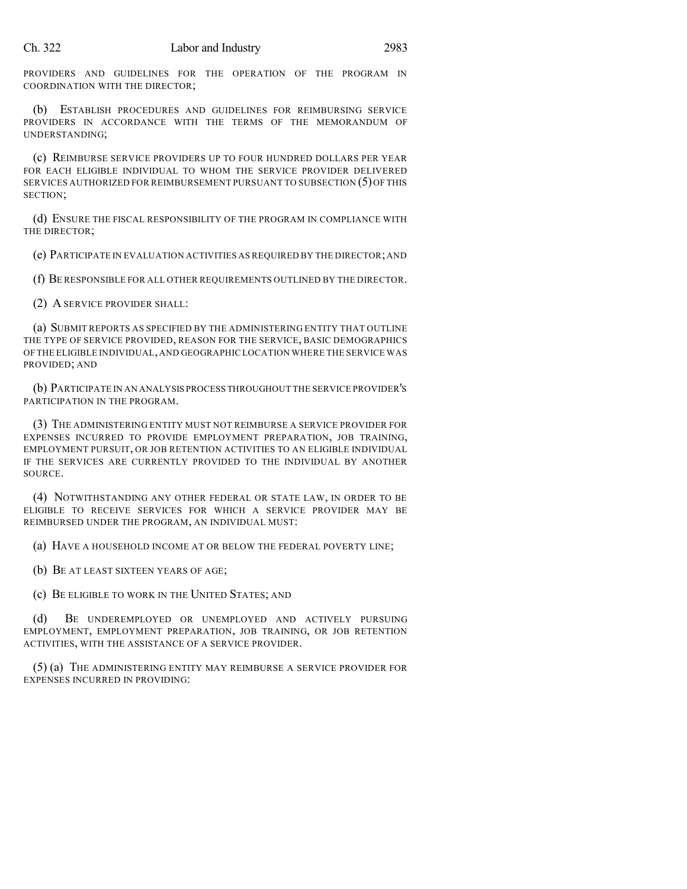PROVIDERS AND GUIDELINES FOR THE OPERATION OF THE PROGRAM IN COORDINATION WITH THE DIRECTOR;

(b) ESTABLISH PROCEDURES AND GUIDELINES FOR REIMBURSING SERVICE PROVIDERS IN ACCORDANCE WITH THE TERMS OF THE MEMORANDUM OF UNDERSTANDING;

(c) REIMBURSE SERVICE PROVIDERS UP TO FOUR HUNDRED DOLLARS PER YEAR FOR EACH ELIGIBLE INDIVIDUAL TO WHOM THE SERVICE PROVIDER DELIVERED SERVICES AUTHORIZED FOR REIMBURSEMENT PURSUANT TO SUBSECTION (5)OF THIS SECTION;

(d) ENSURE THE FISCAL RESPONSIBILITY OF THE PROGRAM IN COMPLIANCE WITH THE DIRECTOR;

(e) PARTICIPATE IN EVALUATION ACTIVITIES AS REQUIRED BY THE DIRECTOR;AND

(f) BE RESPONSIBLE FOR ALL OTHER REQUIREMENTS OUTLINED BY THE DIRECTOR.

(2) A SERVICE PROVIDER SHALL:

(a) SUBMIT REPORTS AS SPECIFIED BY THE ADMINISTERING ENTITY THAT OUTLINE THE TYPE OF SERVICE PROVIDED, REASON FOR THE SERVICE, BASIC DEMOGRAPHICS OF THE ELIGIBLE INDIVIDUAL,AND GEOGRAPHIC LOCATION WHERE THE SERVICE WAS PROVIDED; AND

(b) PARTICIPATE IN AN ANALYSIS PROCESS THROUGHOUT THE SERVICE PROVIDER'S PARTICIPATION IN THE PROGRAM.

(3) THE ADMINISTERING ENTITY MUST NOT REIMBURSE A SERVICE PROVIDER FOR EXPENSES INCURRED TO PROVIDE EMPLOYMENT PREPARATION, JOB TRAINING, EMPLOYMENT PURSUIT, OR JOB RETENTION ACTIVITIES TO AN ELIGIBLE INDIVIDUAL IF THE SERVICES ARE CURRENTLY PROVIDED TO THE INDIVIDUAL BY ANOTHER SOURCE.

(4) NOTWITHSTANDING ANY OTHER FEDERAL OR STATE LAW, IN ORDER TO BE ELIGIBLE TO RECEIVE SERVICES FOR WHICH A SERVICE PROVIDER MAY BE REIMBURSED UNDER THE PROGRAM, AN INDIVIDUAL MUST:

(a) HAVE A HOUSEHOLD INCOME AT OR BELOW THE FEDERAL POVERTY LINE;

(b) BE AT LEAST SIXTEEN YEARS OF AGE;

(c) BE ELIGIBLE TO WORK IN THE UNITED STATES; AND

(d) BE UNDEREMPLOYED OR UNEMPLOYED AND ACTIVELY PURSUING EMPLOYMENT, EMPLOYMENT PREPARATION, JOB TRAINING, OR JOB RETENTION ACTIVITIES, WITH THE ASSISTANCE OF A SERVICE PROVIDER.

(5) (a) THE ADMINISTERING ENTITY MAY REIMBURSE A SERVICE PROVIDER FOR EXPENSES INCURRED IN PROVIDING: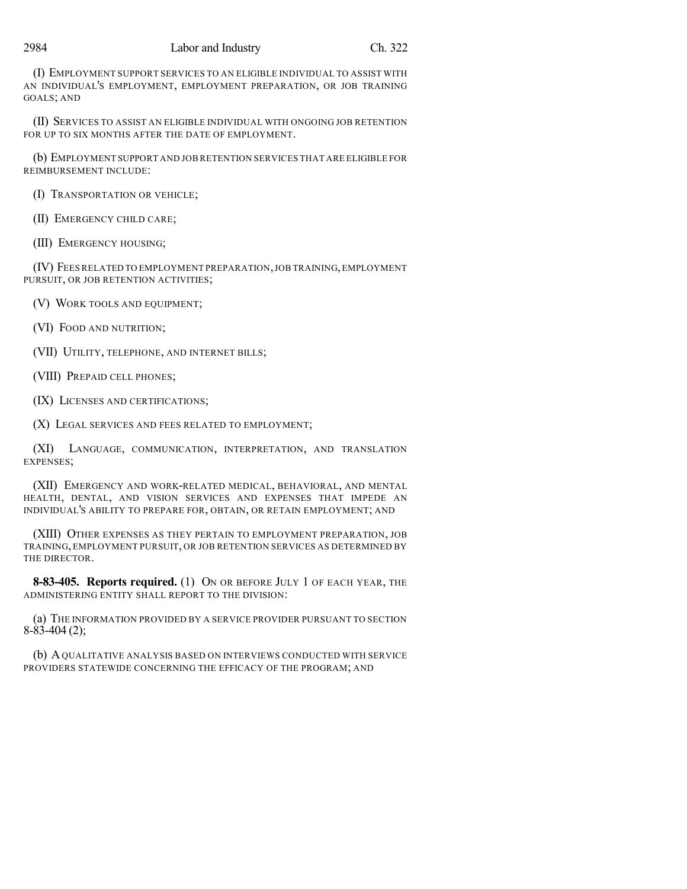(I) EMPLOYMENT SUPPORT SERVICES TO AN ELIGIBLE INDIVIDUAL TO ASSIST WITH AN INDIVIDUAL'S EMPLOYMENT, EMPLOYMENT PREPARATION, OR JOB TRAINING GOALS; AND

(II) SERVICES TO ASSIST AN ELIGIBLE INDIVIDUAL WITH ONGOING JOB RETENTION FOR UP TO SIX MONTHS AFTER THE DATE OF EMPLOYMENT.

(b) EMPLOYMENT SUPPORT AND JOB RETENTION SERVICES THAT ARE ELIGIBLE FOR REIMBURSEMENT INCLUDE:

(I) TRANSPORTATION OR VEHICLE;

(II) EMERGENCY CHILD CARE;

(III) EMERGENCY HOUSING;

(IV) FEES RELATED TO EMPLOYMENT PREPARATION,JOB TRAINING,EMPLOYMENT PURSUIT, OR JOB RETENTION ACTIVITIES;

(V) WORK TOOLS AND EQUIPMENT;

(VI) FOOD AND NUTRITION;

(VII) UTILITY, TELEPHONE, AND INTERNET BILLS;

(VIII) PREPAID CELL PHONES;

(IX) LICENSES AND CERTIFICATIONS;

(X) LEGAL SERVICES AND FEES RELATED TO EMPLOYMENT;

(XI) LANGUAGE, COMMUNICATION, INTERPRETATION, AND TRANSLATION EXPENSES;

(XII) EMERGENCY AND WORK-RELATED MEDICAL, BEHAVIORAL, AND MENTAL HEALTH, DENTAL, AND VISION SERVICES AND EXPENSES THAT IMPEDE AN INDIVIDUAL'S ABILITY TO PREPARE FOR, OBTAIN, OR RETAIN EMPLOYMENT; AND

(XIII) OTHER EXPENSES AS THEY PERTAIN TO EMPLOYMENT PREPARATION, JOB TRAINING, EMPLOYMENT PURSUIT, OR JOB RETENTION SERVICES AS DETERMINED BY THE DIRECTOR.

**8-83-405. Reports required.** (1) ON OR BEFORE JULY 1 OF EACH YEAR, THE ADMINISTERING ENTITY SHALL REPORT TO THE DIVISION:

(a) THE INFORMATION PROVIDED BY A SERVICE PROVIDER PURSUANT TO SECTION 8-83-404 (2);

(b) AQUALITATIVE ANALYSIS BASED ON INTERVIEWS CONDUCTED WITH SERVICE PROVIDERS STATEWIDE CONCERNING THE EFFICACY OF THE PROGRAM; AND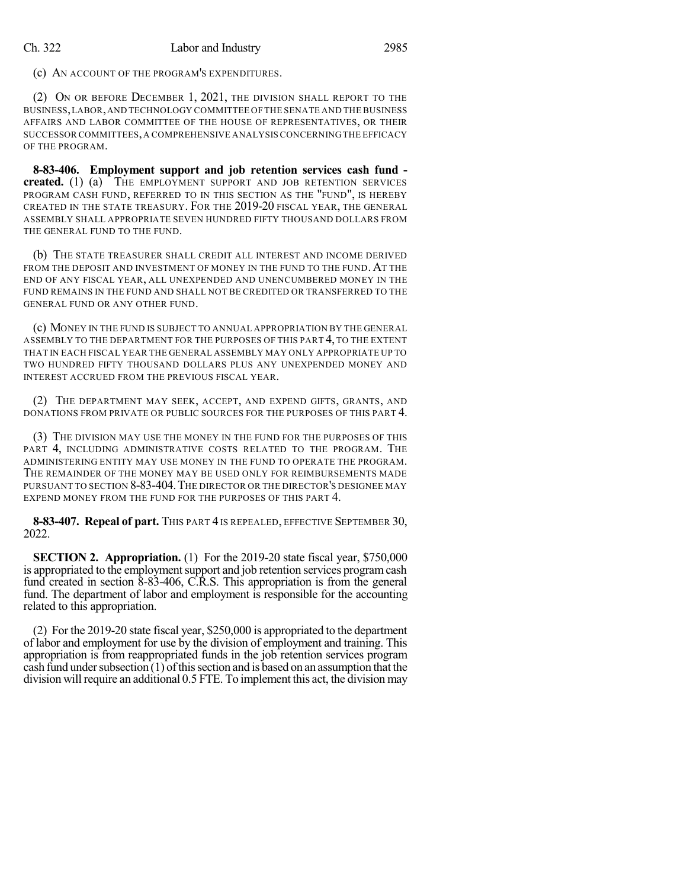(c) AN ACCOUNT OF THE PROGRAM'S EXPENDITURES.

(2) ON OR BEFORE DECEMBER 1, 2021, THE DIVISION SHALL REPORT TO THE BUSINESS,LABOR,AND TECHNOLOGY COMMITTEE OF THE SENATE AND THE BUSINESS AFFAIRS AND LABOR COMMITTEE OF THE HOUSE OF REPRESENTATIVES, OR THEIR SUCCESSOR COMMITTEES,A COMPREHENSIVE ANALYSIS CONCERNINGTHE EFFICACY OF THE PROGRAM.

**8-83-406. Employment support and job retention services cash fund**  created. (1) (a) THE EMPLOYMENT SUPPORT AND JOB RETENTION SERVICES PROGRAM CASH FUND, REFERRED TO IN THIS SECTION AS THE "FUND", IS HEREBY CREATED IN THE STATE TREASURY. FOR THE 2019-20 FISCAL YEAR, THE GENERAL ASSEMBLY SHALL APPROPRIATE SEVEN HUNDRED FIFTY THOUSAND DOLLARS FROM THE GENERAL FUND TO THE FUND.

(b) THE STATE TREASURER SHALL CREDIT ALL INTEREST AND INCOME DERIVED FROM THE DEPOSIT AND INVESTMENT OF MONEY IN THE FUND TO THE FUND. AT THE END OF ANY FISCAL YEAR, ALL UNEXPENDED AND UNENCUMBERED MONEY IN THE FUND REMAINS IN THE FUND AND SHALL NOT BE CREDITED OR TRANSFERRED TO THE GENERAL FUND OR ANY OTHER FUND.

(c) MONEY IN THE FUND IS SUBJECT TO ANNUAL APPROPRIATION BY THE GENERAL ASSEMBLY TO THE DEPARTMENT FOR THE PURPOSES OF THIS PART 4, TO THE EXTENT THAT IN EACH FISCAL YEAR THE GENERAL ASSEMBLY MAY ONLY APPROPRIATE UP TO TWO HUNDRED FIFTY THOUSAND DOLLARS PLUS ANY UNEXPENDED MONEY AND INTEREST ACCRUED FROM THE PREVIOUS FISCAL YEAR.

(2) THE DEPARTMENT MAY SEEK, ACCEPT, AND EXPEND GIFTS, GRANTS, AND DONATIONS FROM PRIVATE OR PUBLIC SOURCES FOR THE PURPOSES OF THIS PART 4.

(3) THE DIVISION MAY USE THE MONEY IN THE FUND FOR THE PURPOSES OF THIS PART 4, INCLUDING ADMINISTRATIVE COSTS RELATED TO THE PROGRAM. THE ADMINISTERING ENTITY MAY USE MONEY IN THE FUND TO OPERATE THE PROGRAM. THE REMAINDER OF THE MONEY MAY BE USED ONLY FOR REIMBURSEMENTS MADE PURSUANT TO SECTION 8-83-404.THE DIRECTOR OR THE DIRECTOR'S DESIGNEE MAY EXPEND MONEY FROM THE FUND FOR THE PURPOSES OF THIS PART 4.

**8-83-407. Repeal of part.** THIS PART 4 IS REPEALED, EFFECTIVE SEPTEMBER 30, 2022.

**SECTION 2. Appropriation.** (1) For the 2019-20 state fiscal year, \$750,000 is appropriated to the employment support and job retention services program cash fund created in section  $\delta$ -83-406, C.R.S. This appropriation is from the general fund. The department of labor and employment is responsible for the accounting related to this appropriation.

(2) For the 2019-20 state fiscal year, \$250,000 is appropriated to the department of labor and employment for use by the division of employment and training. This appropriation is from reappropriated funds in the job retention services program cash fund under subsection  $(1)$  of this section and is based on an assumption that the division will require an additional 0.5 FTE. To implement this act, the division may